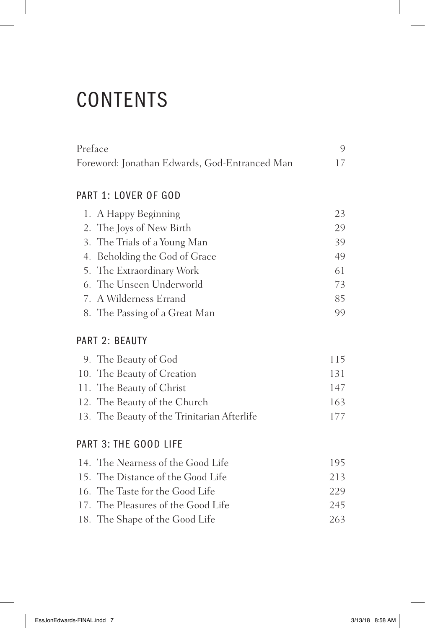# **CONTENTS**

| Preface                                       |  |
|-----------------------------------------------|--|
| Foreword: Jonathan Edwards, God-Entranced Man |  |

## PART 1: LOVER OF GOD

| 1. A Happy Beginning          | 23 |
|-------------------------------|----|
| 2. The Joys of New Birth      | 29 |
| 3. The Trials of a Young Man  | 39 |
| 4. Beholding the God of Grace | 49 |
| 5. The Extraordinary Work     | 61 |
| 6. The Unseen Underworld      | 73 |
| 7. A Wilderness Errand        | 85 |
| 8. The Passing of a Great Man | 99 |

### PART 2: BEAUTY

| 9. The Beauty of God                        | 115 |
|---------------------------------------------|-----|
| 10. The Beauty of Creation                  | 131 |
| 11. The Beauty of Christ                    | 147 |
| 12. The Beauty of the Church                | 163 |
| 13. The Beauty of the Trinitarian Afterlife | 177 |

### PART 3: THE GOOD LIFE

| 14. The Nearness of the Good Life  | 195 |
|------------------------------------|-----|
| 15. The Distance of the Good Life  | 213 |
| 16. The Taste for the Good Life    | 229 |
| 17. The Pleasures of the Good Life | 245 |
| 18. The Shape of the Good Life     | 263 |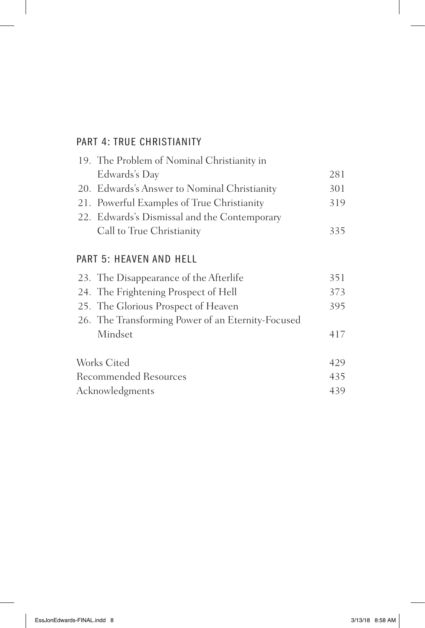## PART 4: TRUE CHRISTIANITY

| 19. The Problem of Nominal Christianity in   |     |
|----------------------------------------------|-----|
| Edwards's Day                                | 281 |
| 20. Edwards's Answer to Nominal Christianity | 301 |
| 21. Powerful Examples of True Christianity   | 319 |
| 22. Edwards's Dismissal and the Contemporary |     |
| Call to True Christianity                    | 335 |
|                                              |     |

## PART 5: HEAVEN AND HELL

| 23. The Disappearance of the Afterlife            | 351 |
|---------------------------------------------------|-----|
| 24. The Frightening Prospect of Hell              | 373 |
| 25. The Glorious Prospect of Heaven               | 395 |
| 26. The Transforming Power of an Eternity-Focused |     |
| Mindset                                           | 417 |
| Works Cited                                       | 429 |
| <b>Recommended Resources</b>                      | 435 |
| Acknowledgments                                   | 439 |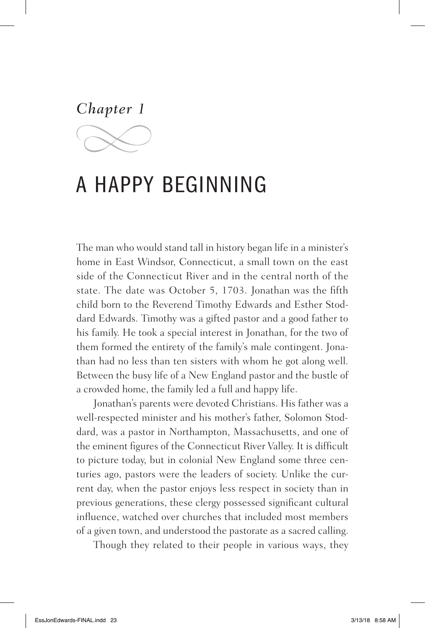*Chapter 1*

# A HAPPY BEGINNING

The man who would stand tall in history began life in a minister's home in East Windsor, Connecticut, a small town on the east side of the Connecticut River and in the central north of the state. The date was October 5, 1703. Jonathan was the fifth child born to the Reverend Timothy Edwards and Esther Stoddard Edwards. Timothy was a gifted pastor and a good father to his family. He took a special interest in Jonathan, for the two of them formed the entirety of the family's male contingent. Jonathan had no less than ten sisters with whom he got along well. Between the busy life of a New England pastor and the bustle of a crowded home, the family led a full and happy life.

Jonathan's parents were devoted Christians. His father was a well-respected minister and his mother's father, Solomon Stoddard, was a pastor in Northampton, Massachusetts, and one of the eminent figures of the Connecticut River Valley. It is difficult to picture today, but in colonial New England some three centuries ago, pastors were the leaders of society. Unlike the current day, when the pastor enjoys less respect in society than in previous generations, these clergy possessed significant cultural influence, watched over churches that included most members of a given town, and understood the pastorate as a sacred calling.

Though they related to their people in various ways, they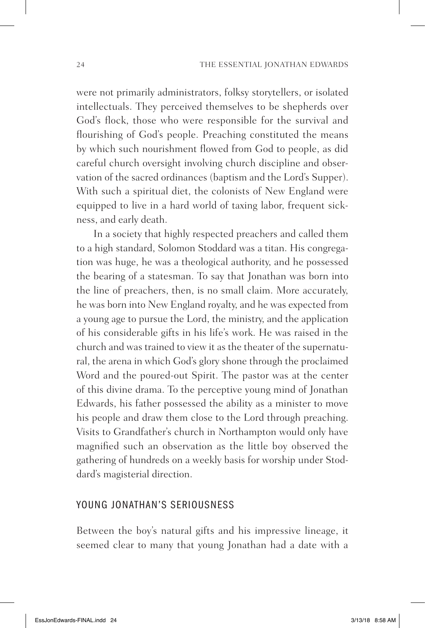were not primarily administrators, folksy storytellers, or isolated intellectuals. They perceived themselves to be shepherds over God's flock, those who were responsible for the survival and flourishing of God's people. Preaching constituted the means by which such nourishment flowed from God to people, as did careful church oversight involving church discipline and observation of the sacred ordinances (baptism and the Lord's Supper). With such a spiritual diet, the colonists of New England were equipped to live in a hard world of taxing labor, frequent sickness, and early death.

In a society that highly respected preachers and called them to a high standard, Solomon Stoddard was a titan. His congregation was huge, he was a theological authority, and he possessed the bearing of a statesman. To say that Jonathan was born into the line of preachers, then, is no small claim. More accurately, he was born into New England royalty, and he was expected from a young age to pursue the Lord, the ministry, and the application of his considerable gifts in his life's work. He was raised in the church and was trained to view it as the theater of the supernatural, the arena in which God's glory shone through the proclaimed Word and the poured-out Spirit. The pastor was at the center of this divine drama. To the perceptive young mind of Jonathan Edwards, his father possessed the ability as a minister to move his people and draw them close to the Lord through preaching. Visits to Grandfather's church in Northampton would only have magnified such an observation as the little boy observed the gathering of hundreds on a weekly basis for worship under Stoddard's magisterial direction.

#### YOUNG JONATHAN'S SERIOUSNESS

Between the boy's natural gifts and his impressive lineage, it seemed clear to many that young Jonathan had a date with a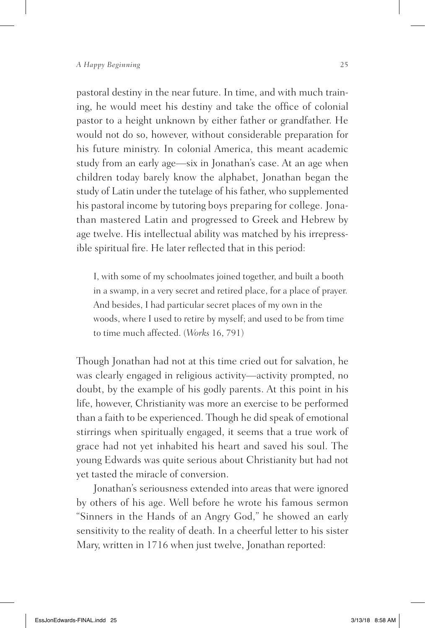pastoral destiny in the near future. In time, and with much training, he would meet his destiny and take the office of colonial pastor to a height unknown by either father or grandfather. He would not do so, however, without considerable preparation for his future ministry. In colonial America, this meant academic study from an early age—six in Jonathan's case. At an age when children today barely know the alphabet, Jonathan began the study of Latin under the tutelage of his father, who supplemented his pastoral income by tutoring boys preparing for college. Jonathan mastered Latin and progressed to Greek and Hebrew by age twelve. His intellectual ability was matched by his irrepressible spiritual fire. He later reflected that in this period:

I, with some of my schoolmates joined together, and built a booth in a swamp, in a very secret and retired place, for a place of prayer. And besides, I had particular secret places of my own in the woods, where I used to retire by myself; and used to be from time to time much affected. (*Works* 16, 791)

Though Jonathan had not at this time cried out for salvation, he was clearly engaged in religious activity—activity prompted, no doubt, by the example of his godly parents. At this point in his life, however, Christianity was more an exercise to be performed than a faith to be experienced. Though he did speak of emotional stirrings when spiritually engaged, it seems that a true work of grace had not yet inhabited his heart and saved his soul. The young Edwards was quite serious about Christianity but had not yet tasted the miracle of conversion.

Jonathan's seriousness extended into areas that were ignored by others of his age. Well before he wrote his famous sermon "Sinners in the Hands of an Angry God," he showed an early sensitivity to the reality of death. In a cheerful letter to his sister Mary, written in 1716 when just twelve, Jonathan reported: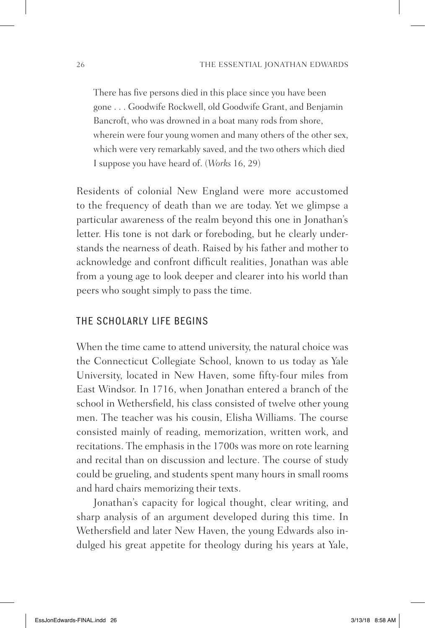There has five persons died in this place since you have been gone . . . Goodwife Rockwell, old Goodwife Grant, and Benjamin Bancroft, who was drowned in a boat many rods from shore, wherein were four young women and many others of the other sex, which were very remarkably saved, and the two others which died I suppose you have heard of. (*Works* 16, 29)

Residents of colonial New England were more accustomed to the frequency of death than we are today. Yet we glimpse a particular awareness of the realm beyond this one in Jonathan's letter. His tone is not dark or foreboding, but he clearly understands the nearness of death. Raised by his father and mother to acknowledge and confront difficult realities, Jonathan was able from a young age to look deeper and clearer into his world than peers who sought simply to pass the time.

#### THE SCHOLARLY LIFE BEGINS

When the time came to attend university, the natural choice was the Connecticut Collegiate School, known to us today as Yale University, located in New Haven, some fifty-four miles from East Windsor. In 1716, when Jonathan entered a branch of the school in Wethersfield, his class consisted of twelve other young men. The teacher was his cousin, Elisha Williams. The course consisted mainly of reading, memorization, written work, and recitations. The emphasis in the 1700s was more on rote learning and recital than on discussion and lecture. The course of study could be grueling, and students spent many hours in small rooms and hard chairs memorizing their texts.

Jonathan's capacity for logical thought, clear writing, and sharp analysis of an argument developed during this time. In Wethersfield and later New Haven, the young Edwards also indulged his great appetite for theology during his years at Yale,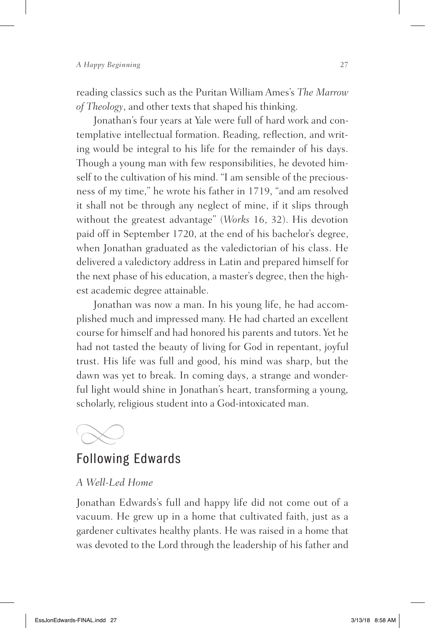reading classics such as the Puritan William Ames's *The Marrow of Theology*, and other texts that shaped his thinking.

Jonathan's four years at Yale were full of hard work and contemplative intellectual formation. Reading, reflection, and writing would be integral to his life for the remainder of his days. Though a young man with few responsibilities, he devoted himself to the cultivation of his mind. "I am sensible of the preciousness of my time," he wrote his father in 1719, "and am resolved it shall not be through any neglect of mine, if it slips through without the greatest advantage" (*Works* 16, 32). His devotion paid off in September 1720, at the end of his bachelor's degree, when Jonathan graduated as the valedictorian of his class. He delivered a valedictory address in Latin and prepared himself for the next phase of his education, a master's degree, then the highest academic degree attainable.

Jonathan was now a man. In his young life, he had accomplished much and impressed many. He had charted an excellent course for himself and had honored his parents and tutors. Yet he had not tasted the beauty of living for God in repentant, joyful trust. His life was full and good, his mind was sharp, but the dawn was yet to break. In coming days, a strange and wonderful light would shine in Jonathan's heart, transforming a young, scholarly, religious student into a God-intoxicated man.



## Following Edwards

#### *A Well-Led Home*

Jonathan Edwards's full and happy life did not come out of a vacuum. He grew up in a home that cultivated faith, just as a gardener cultivates healthy plants. He was raised in a home that was devoted to the Lord through the leadership of his father and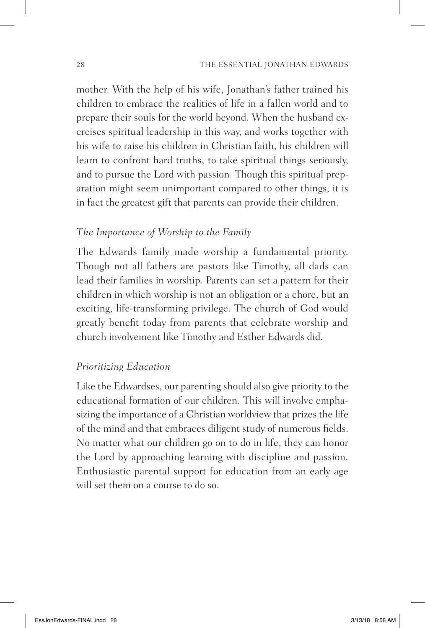mother. With the help of his wife, Jonathan's father trained his children to embrace the realities of life in a fallen world and to prepare their souls for the world beyond. When the husband exercises spiritual leadership in this way, and works together with his wife to raise his children in Christian faith, his children will learn to confront hard truths, to take spiritual things seriously, and to pursue the Lord with passion. Though this spiritual preparation might seem unimportant compared to other things, it is in fact the greatest gift that parents can provide their children.

#### *The Importance of Worship to the Family*

The Edwards family made worship a fundamental priority. Though not all fathers are pastors like Timothy, all dads can lead their families in worship. Parents can set a pattern for their children in which worship is not an obligation or a chore, but an exciting, life-transforming privilege. The church of God would greatly benefit today from parents that celebrate worship and church involvement like Timothy and Esther Edwards did.

#### *Prioritizing Education*

Like the Edwardses, our parenting should also give priority to the educational formation of our children. This will involve emphasizing the importance of a Christian worldview that prizes the life of the mind and that embraces diligent study of numerous fields. No matter what our children go on to do in life, they can honor the Lord by approaching learning with discipline and passion. Enthusiastic parental support for education from an early age will set them on a course to do so.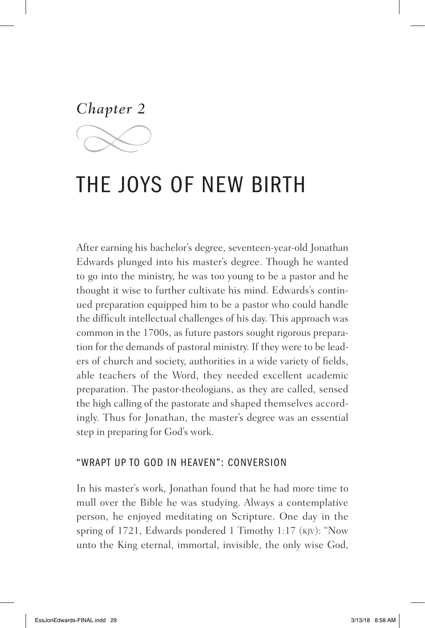*Chapter 2*

# THE JOYS OF NEW BIRTH

After earning his bachelor's degree, seventeen-year-old Jonathan Edwards plunged into his master's degree. Though he wanted to go into the ministry, he was too young to be a pastor and he thought it wise to further cultivate his mind. Edwards's continued preparation equipped him to be a pastor who could handle the difficult intellectual challenges of his day. This approach was common in the 1700s, as future pastors sought rigorous preparation for the demands of pastoral ministry. If they were to be leaders of church and society, authorities in a wide variety of fields, able teachers of the Word, they needed excellent academic preparation. The pastor-theologians, as they are called, sensed the high calling of the pastorate and shaped themselves accordingly. Thus for Jonathan, the master's degree was an essential step in preparing for God's work.

#### "WRAPT UP TO GOD IN HEAVEN": CONVERSION

In his master's work, Jonathan found that he had more time to mull over the Bible he was studying. Always a contemplative person, he enjoyed meditating on Scripture. One day in the spring of 1721, Edwards pondered 1 Timothy 1:17 (kjv): "Now unto the King eternal, immortal, invisible, the only wise God,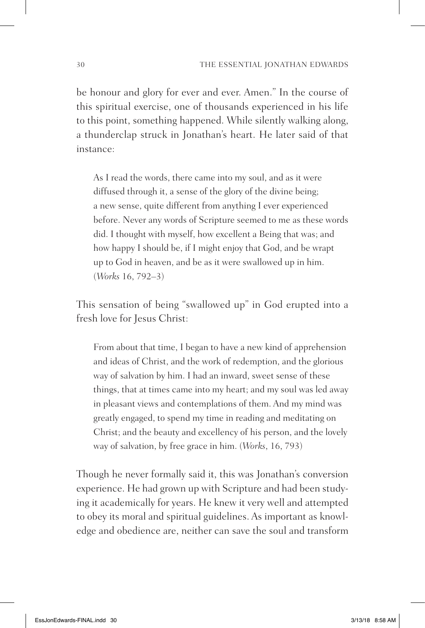be honour and glory for ever and ever. Amen." In the course of this spiritual exercise, one of thousands experienced in his life to this point, something happened. While silently walking along, a thunderclap struck in Jonathan's heart. He later said of that instance:

As I read the words, there came into my soul, and as it were diffused through it, a sense of the glory of the divine being; a new sense, quite different from anything I ever experienced before. Never any words of Scripture seemed to me as these words did. I thought with myself, how excellent a Being that was; and how happy I should be, if I might enjoy that God, and be wrapt up to God in heaven, and be as it were swallowed up in him. (*Works* 16, 792–3)

This sensation of being "swallowed up" in God erupted into a fresh love for Jesus Christ:

From about that time, I began to have a new kind of apprehension and ideas of Christ, and the work of redemption, and the glorious way of salvation by him. I had an inward, sweet sense of these things, that at times came into my heart; and my soul was led away in pleasant views and contemplations of them. And my mind was greatly engaged, to spend my time in reading and meditating on Christ; and the beauty and excellency of his person, and the lovely way of salvation, by free grace in him. (*Works*, 16, 793)

Though he never formally said it, this was Jonathan's conversion experience. He had grown up with Scripture and had been studying it academically for years. He knew it very well and attempted to obey its moral and spiritual guidelines. As important as knowledge and obedience are, neither can save the soul and transform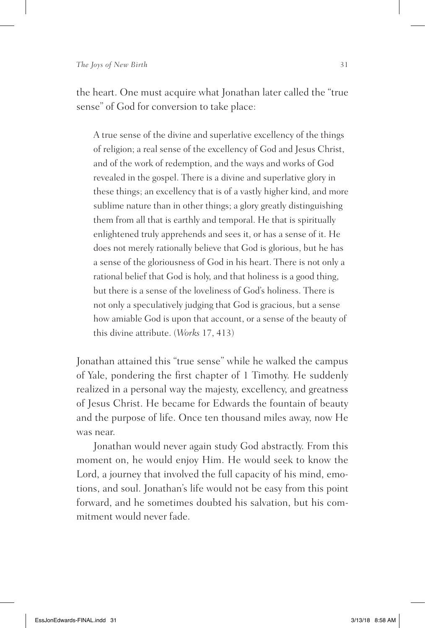the heart. One must acquire what Jonathan later called the "true sense" of God for conversion to take place:

A true sense of the divine and superlative excellency of the things of religion; a real sense of the excellency of God and Jesus Christ, and of the work of redemption, and the ways and works of God revealed in the gospel. There is a divine and superlative glory in these things; an excellency that is of a vastly higher kind, and more sublime nature than in other things; a glory greatly distinguishing them from all that is earthly and temporal. He that is spiritually enlightened truly apprehends and sees it, or has a sense of it. He does not merely rationally believe that God is glorious, but he has a sense of the gloriousness of God in his heart. There is not only a rational belief that God is holy, and that holiness is a good thing, but there is a sense of the loveliness of God's holiness. There is not only a speculatively judging that God is gracious, but a sense how amiable God is upon that account, or a sense of the beauty of this divine attribute. (*Works* 17, 413)

Jonathan attained this "true sense" while he walked the campus of Yale, pondering the first chapter of 1 Timothy. He suddenly realized in a personal way the majesty, excellency, and greatness of Jesus Christ. He became for Edwards the fountain of beauty and the purpose of life. Once ten thousand miles away, now He was near.

Jonathan would never again study God abstractly. From this moment on, he would enjoy Him. He would seek to know the Lord, a journey that involved the full capacity of his mind, emotions, and soul. Jonathan's life would not be easy from this point forward, and he sometimes doubted his salvation, but his commitment would never fade.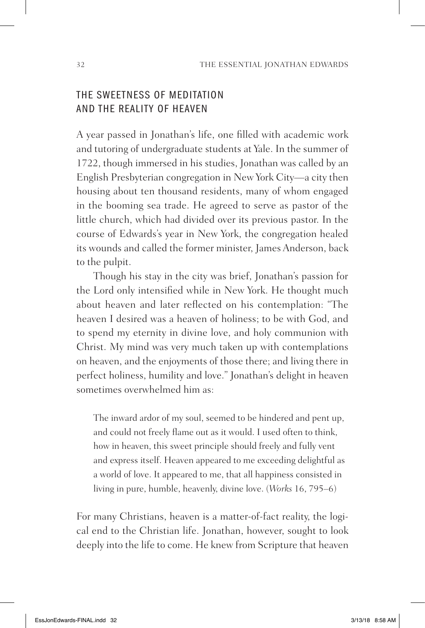### THE SWEETNESS OF MEDITATION AND THE REALITY OF HEAVEN

A year passed in Jonathan's life, one filled with academic work and tutoring of undergraduate students at Yale. In the summer of 1722, though immersed in his studies, Jonathan was called by an English Presbyterian congregation in New York City—a city then housing about ten thousand residents, many of whom engaged in the booming sea trade. He agreed to serve as pastor of the little church, which had divided over its previous pastor. In the course of Edwards's year in New York, the congregation healed its wounds and called the former minister, James Anderson, back to the pulpit.

Though his stay in the city was brief, Jonathan's passion for the Lord only intensified while in New York. He thought much about heaven and later reflected on his contemplation: "The heaven I desired was a heaven of holiness; to be with God, and to spend my eternity in divine love, and holy communion with Christ. My mind was very much taken up with contemplations on heaven, and the enjoyments of those there; and living there in perfect holiness, humility and love." Jonathan's delight in heaven sometimes overwhelmed him as:

The inward ardor of my soul, seemed to be hindered and pent up, and could not freely flame out as it would. I used often to think, how in heaven, this sweet principle should freely and fully vent and express itself. Heaven appeared to me exceeding delightful as a world of love. It appeared to me, that all happiness consisted in living in pure, humble, heavenly, divine love. (*Works* 16, 795–6)

For many Christians, heaven is a matter-of-fact reality, the logical end to the Christian life. Jonathan, however, sought to look deeply into the life to come. He knew from Scripture that heaven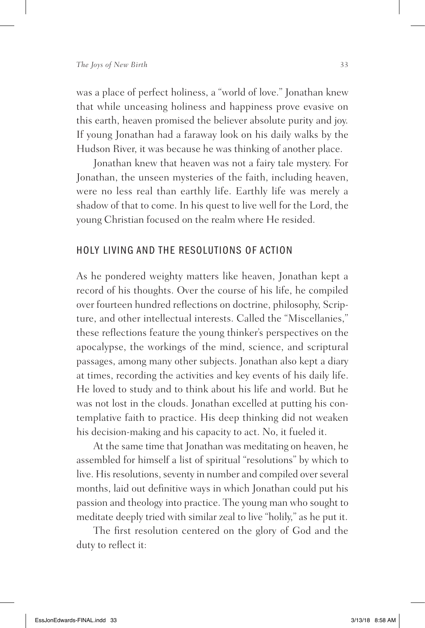was a place of perfect holiness, a "world of love." Jonathan knew that while unceasing holiness and happiness prove evasive on this earth, heaven promised the believer absolute purity and joy. If young Jonathan had a faraway look on his daily walks by the Hudson River, it was because he was thinking of another place.

Jonathan knew that heaven was not a fairy tale mystery. For Jonathan, the unseen mysteries of the faith, including heaven, were no less real than earthly life. Earthly life was merely a shadow of that to come. In his quest to live well for the Lord, the young Christian focused on the realm where He resided.

#### HOLY LIVING AND THE RESOLUTIONS OF ACTION

As he pondered weighty matters like heaven, Jonathan kept a record of his thoughts. Over the course of his life, he compiled over fourteen hundred reflections on doctrine, philosophy, Scripture, and other intellectual interests. Called the "Miscellanies," these reflections feature the young thinker's perspectives on the apocalypse, the workings of the mind, science, and scriptural passages, among many other subjects. Jonathan also kept a diary at times, recording the activities and key events of his daily life. He loved to study and to think about his life and world. But he was not lost in the clouds. Jonathan excelled at putting his contemplative faith to practice. His deep thinking did not weaken his decision-making and his capacity to act. No, it fueled it.

At the same time that Jonathan was meditating on heaven, he assembled for himself a list of spiritual "resolutions" by which to live. His resolutions, seventy in number and compiled over several months, laid out definitive ways in which Jonathan could put his passion and theology into practice. The young man who sought to meditate deeply tried with similar zeal to live "holily," as he put it.

The first resolution centered on the glory of God and the duty to reflect it: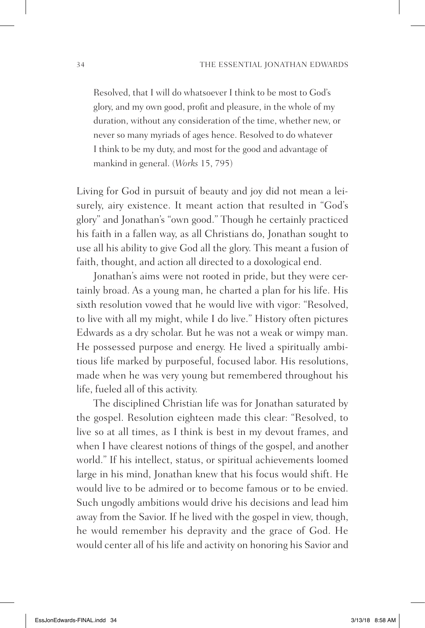Resolved, that I will do whatsoever I think to be most to God's glory, and my own good, profit and pleasure, in the whole of my duration, without any consideration of the time, whether new, or never so many myriads of ages hence. Resolved to do whatever I think to be my duty, and most for the good and advantage of mankind in general. (*Works* 15, 795)

Living for God in pursuit of beauty and joy did not mean a leisurely, airy existence. It meant action that resulted in "God's glory" and Jonathan's "own good." Though he certainly practiced his faith in a fallen way, as all Christians do, Jonathan sought to use all his ability to give God all the glory. This meant a fusion of faith, thought, and action all directed to a doxological end.

Jonathan's aims were not rooted in pride, but they were certainly broad. As a young man, he charted a plan for his life. His sixth resolution vowed that he would live with vigor: "Resolved, to live with all my might, while I do live." History often pictures Edwards as a dry scholar. But he was not a weak or wimpy man. He possessed purpose and energy. He lived a spiritually ambitious life marked by purposeful, focused labor. His resolutions, made when he was very young but remembered throughout his life, fueled all of this activity.

The disciplined Christian life was for Jonathan saturated by the gospel. Resolution eighteen made this clear: "Resolved, to live so at all times, as I think is best in my devout frames, and when I have clearest notions of things of the gospel, and another world." If his intellect, status, or spiritual achievements loomed large in his mind, Jonathan knew that his focus would shift. He would live to be admired or to become famous or to be envied. Such ungodly ambitions would drive his decisions and lead him away from the Savior. If he lived with the gospel in view, though, he would remember his depravity and the grace of God. He would center all of his life and activity on honoring his Savior and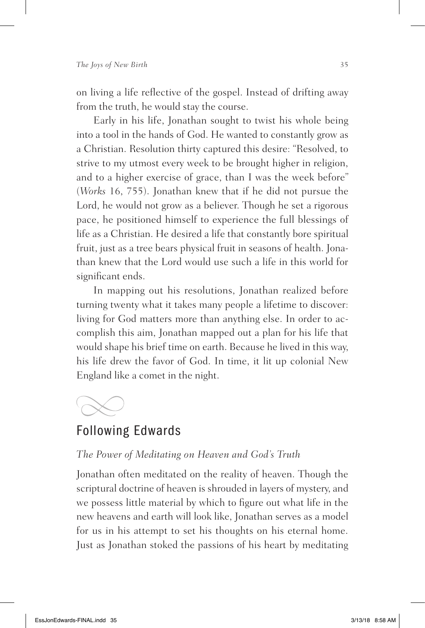on living a life reflective of the gospel. Instead of drifting away from the truth, he would stay the course.

Early in his life, Jonathan sought to twist his whole being into a tool in the hands of God. He wanted to constantly grow as a Christian. Resolution thirty captured this desire: "Resolved, to strive to my utmost every week to be brought higher in religion, and to a higher exercise of grace, than I was the week before" (*Works* 16, 755). Jonathan knew that if he did not pursue the Lord, he would not grow as a believer. Though he set a rigorous pace, he positioned himself to experience the full blessings of life as a Christian. He desired a life that constantly bore spiritual fruit, just as a tree bears physical fruit in seasons of health. Jonathan knew that the Lord would use such a life in this world for significant ends.

In mapping out his resolutions, Jonathan realized before turning twenty what it takes many people a lifetime to discover: living for God matters more than anything else. In order to accomplish this aim, Jonathan mapped out a plan for his life that would shape his brief time on earth. Because he lived in this way, his life drew the favor of God. In time, it lit up colonial New England like a comet in the night.



## Following Edwards

#### *The Power of Meditating on Heaven and God's Truth*

Jonathan often meditated on the reality of heaven. Though the scriptural doctrine of heaven is shrouded in layers of mystery, and we possess little material by which to figure out what life in the new heavens and earth will look like, Jonathan serves as a model for us in his attempt to set his thoughts on his eternal home. Just as Jonathan stoked the passions of his heart by meditating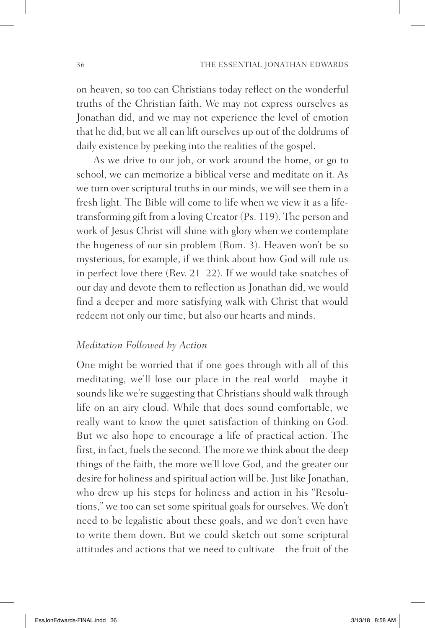on heaven, so too can Christians today reflect on the wonderful truths of the Christian faith. We may not express ourselves as Jonathan did, and we may not experience the level of emotion that he did, but we all can lift ourselves up out of the doldrums of daily existence by peeking into the realities of the gospel.

As we drive to our job, or work around the home, or go to school, we can memorize a biblical verse and meditate on it. As we turn over scriptural truths in our minds, we will see them in a fresh light. The Bible will come to life when we view it as a lifetransforming gift from a loving Creator (Ps. 119). The person and work of Jesus Christ will shine with glory when we contemplate the hugeness of our sin problem (Rom. 3). Heaven won't be so mysterious, for example, if we think about how God will rule us in perfect love there (Rev. 21–22). If we would take snatches of our day and devote them to reflection as Jonathan did, we would find a deeper and more satisfying walk with Christ that would redeem not only our time, but also our hearts and minds.

#### *Meditation Followed by Action*

One might be worried that if one goes through with all of this meditating, we'll lose our place in the real world—maybe it sounds like we're suggesting that Christians should walk through life on an airy cloud. While that does sound comfortable, we really want to know the quiet satisfaction of thinking on God. But we also hope to encourage a life of practical action. The first, in fact, fuels the second. The more we think about the deep things of the faith, the more we'll love God, and the greater our desire for holiness and spiritual action will be. Just like Jonathan, who drew up his steps for holiness and action in his "Resolutions," we too can set some spiritual goals for ourselves. We don't need to be legalistic about these goals, and we don't even have to write them down. But we could sketch out some scriptural attitudes and actions that we need to cultivate—the fruit of the